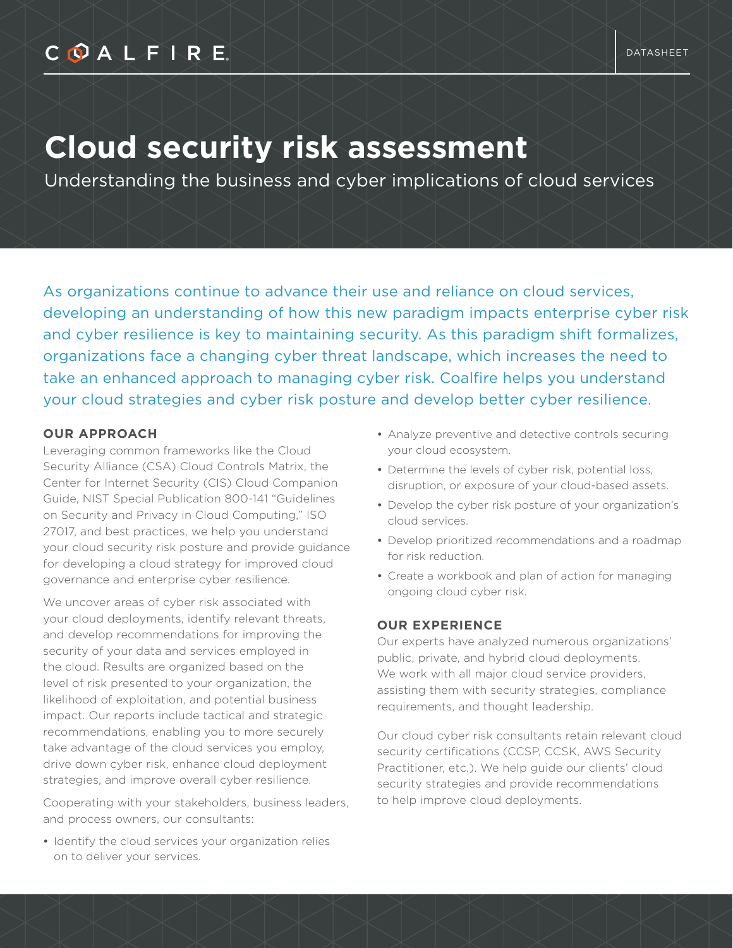## COALFIRE

# **Cloud security risk assessment**

Understanding the business and cyber implications of cloud services

As organizations continue to advance their use and reliance on cloud services, developing an understanding of how this new paradigm impacts enterprise cyber risk and cyber resilience is key to maintaining security. As this paradigm shift formalizes, organizations face a changing cyber threat landscape, which increases the need to take an enhanced approach to managing cyber risk. Coalfire helps you understand your cloud strategies and cyber risk posture and develop better cyber resilience.

#### **OUR APPROACH**

Leveraging common frameworks like the Cloud Security Alliance (CSA) Cloud Controls Matrix, the Center for Internet Security (CIS) Cloud Companion Guide, NIST Special Publication 800-141 "Guidelines on Security and Privacy in Cloud Computing," ISO 27017, and best practices, we help you understand your cloud security risk posture and provide guidance for developing a cloud strategy for improved cloud governance and enterprise cyber resilience.

We uncover areas of cyber risk associated with your cloud deployments, identify relevant threats, and develop recommendations for improving the security of your data and services employed in the cloud. Results are organized based on the level of risk presented to your organization, the likelihood of exploitation, and potential business impact. Our reports include tactical and strategic recommendations, enabling you to more securely take advantage of the cloud services you employ, drive down cyber risk, enhance cloud deployment strategies, and improve overall cyber resilience.

Cooperating with your stakeholders, business leaders, and process owners, our consultants:

• Identify the cloud services your organization relies on to deliver your services.

- Analyze preventive and detective controls securing your cloud ecosystem.
- Determine the levels of cyber risk, potential loss, disruption, or exposure of your cloud-based assets.
- Develop the cyber risk posture of your organization's cloud services.
- Develop prioritized recommendations and a roadmap for risk reduction.
- Create a workbook and plan of action for managing ongoing cloud cyber risk.

#### **OUR EXPERIENCE**

Our experts have analyzed numerous organizations' public, private, and hybrid cloud deployments. We work with all major cloud service providers, assisting them with security strategies, compliance requirements, and thought leadership.

Our cloud cyber risk consultants retain relevant cloud security certifications (CCSP, CCSK, AWS Security Practitioner, etc.). We help guide our clients' cloud security strategies and provide recommendations to help improve cloud deployments.